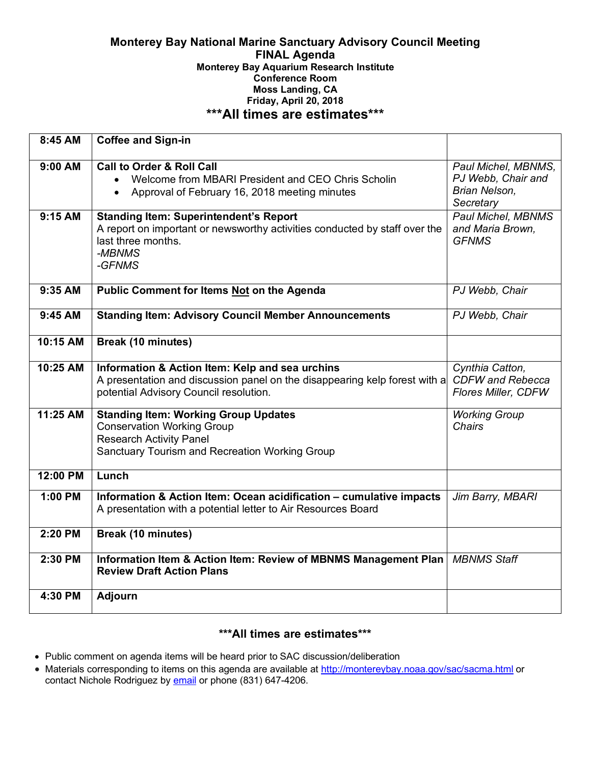#### **Monterey Bay National Marine Sanctuary Advisory Council Meeting FINAL Agenda Monterey Bay Aquarium Research Institute Conference Room Moss Landing, CA Friday, April 20, 2018 \*\*\*All times are estimates\*\*\***

| 8:45 AM              | <b>Coffee and Sign-in</b>                                                                                                                                                                                                                                                                                                                      |                                                                                                                                   |
|----------------------|------------------------------------------------------------------------------------------------------------------------------------------------------------------------------------------------------------------------------------------------------------------------------------------------------------------------------------------------|-----------------------------------------------------------------------------------------------------------------------------------|
| $9:00$ AM<br>9:15 AM | <b>Call to Order &amp; Roll Call</b><br>Welcome from MBARI President and CEO Chris Scholin<br>$\bullet$<br>Approval of February 16, 2018 meeting minutes<br>$\bullet$<br><b>Standing Item: Superintendent's Report</b><br>A report on important or newsworthy activities conducted by staff over the<br>last three months.<br>-MBNMS<br>-GFNMS | Paul Michel, MBNMS,<br>PJ Webb, Chair and<br>Brian Nelson,<br>Secretary<br>Paul Michel, MBNMS<br>and Maria Brown,<br><b>GFNMS</b> |
| 9:35 AM              | Public Comment for Items Not on the Agenda                                                                                                                                                                                                                                                                                                     | PJ Webb, Chair                                                                                                                    |
| $9:45$ AM            | <b>Standing Item: Advisory Council Member Announcements</b>                                                                                                                                                                                                                                                                                    | PJ Webb, Chair                                                                                                                    |
| 10:15 AM             | Break (10 minutes)                                                                                                                                                                                                                                                                                                                             |                                                                                                                                   |
| 10:25 AM             | Information & Action Item: Kelp and sea urchins<br>A presentation and discussion panel on the disappearing kelp forest with a<br>potential Advisory Council resolution.                                                                                                                                                                        | Cynthia Catton,<br><b>CDFW</b> and Rebecca<br>Flores Miller, CDFW                                                                 |
| 11:25 AM             | <b>Standing Item: Working Group Updates</b><br><b>Conservation Working Group</b><br><b>Research Activity Panel</b><br>Sanctuary Tourism and Recreation Working Group                                                                                                                                                                           | <b>Working Group</b><br>Chairs                                                                                                    |
| 12:00 PM             | Lunch                                                                                                                                                                                                                                                                                                                                          |                                                                                                                                   |
| $1:00$ PM            | Information & Action Item: Ocean acidification - cumulative impacts<br>A presentation with a potential letter to Air Resources Board                                                                                                                                                                                                           | Jim Barry, MBARI                                                                                                                  |
| 2:20 PM              | <b>Break (10 minutes)</b>                                                                                                                                                                                                                                                                                                                      |                                                                                                                                   |
| 2:30 PM              | Information Item & Action Item: Review of MBNMS Management Plan<br><b>Review Draft Action Plans</b>                                                                                                                                                                                                                                            | <b>MBNMS Staff</b>                                                                                                                |
| 4:30 PM              | <b>Adjourn</b>                                                                                                                                                                                                                                                                                                                                 |                                                                                                                                   |

# **\*\*\*All times are estimates\*\*\***

- Public comment on agenda items will be heard prior to SAC discussion/deliberation
- Materials corresponding to items on this agenda are available at http://montereybay.noaa.gov/sac/sacma.html or contact Nichole Rodriguez by **email** or phone (831) 647-4206.